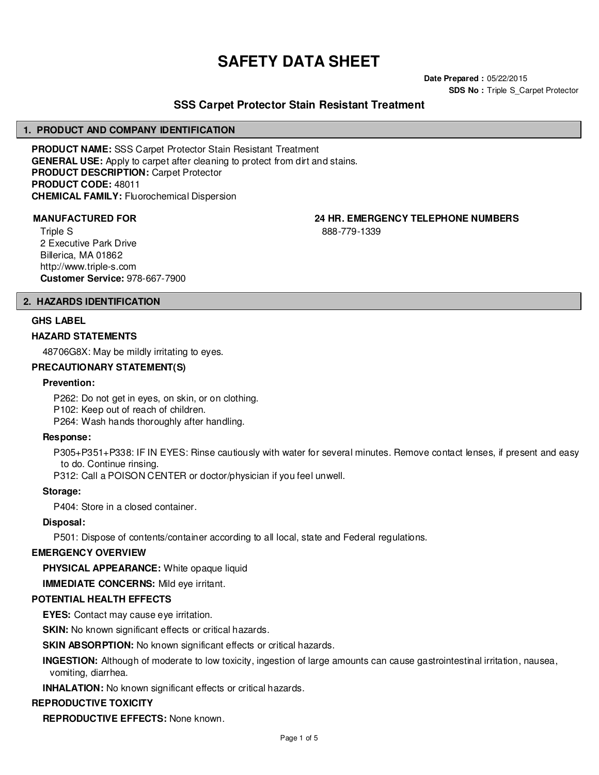# **SAFETY DATA SHEET**

**Date Prepared :** 05/22/2015 **SDS No : Triple S Carpet Protector** 

# **SSS Carpet Protector Stain Resistant Treatment**

#### **1. PRODUCT AND COMPANY IDENTIFICATION**

**PRODUCT NAME:** SSS Carpet Protector Stain Resistant Treatment **GENERAL USE:** Apply to carpet after cleaning to protect from dirt and stains. **PRODUCT DESCRIPTION:** Carpet Protector **PRODUCT CODE:** 48011 **CHEMICAL FAMILY:** Fluorochemical Dispersion

Triple S 2 Executive Park Drive Billerica, MA 01862 http://www.triple-s.com **Customer Service:** 978-667-7900

#### **2. HAZARDS IDENTIFICATION**

#### **GHS LABEL**

#### **HAZARD STATEMENTS**

48706G8X: May be mildly irritating to eyes.

#### **PRECAUTIONARY STATEMENT(S)**

#### **Prevention:**

P262: Do not get in eyes, on skin, or on clothing. P102: Keep out of reach of children.

P264: Wash hands thoroughly after handling.

#### **Response:**

P305+P351+P338: IF IN EYES: Rinse cautiously with water for several minutes. Remove contact lenses, if present and easy to do. Continue rinsing.

P312: Call a POISON CENTER or doctor/physician if you feel unwell.

**Storage:**

P404: Store in a closed container.

#### **Disposal:**

P501: Dispose of contents/container according to all local, state and Federal regulations.

#### **EMERGENCY OVERVIEW**

**PHYSICAL APPEARANCE:** White opaque liquid

**IMMEDIATE CONCERNS:** Mild eye irritant.

#### **POTENTIAL HEALTH EFFECTS**

**EYES:** Contact may cause eye irritation.

**SKIN:** No known significant effects or critical hazards.

**SKIN ABSORPTION:** No known significant effects or critical hazards.

**INGESTION:** Although of moderate to low toxicity, ingestion of large amounts can cause gastrointestinal irritation, nausea, vomiting, diarrhea.

**INHALATION:** No known significant effects or critical hazards.

#### **REPRODUCTIVE TOXICITY**

**REPRODUCTIVE EFFECTS:** None known.

#### **MANUFACTURED FOR 24 HR. EMERGENCY TELEPHONE NUMBERS**

888-779-1339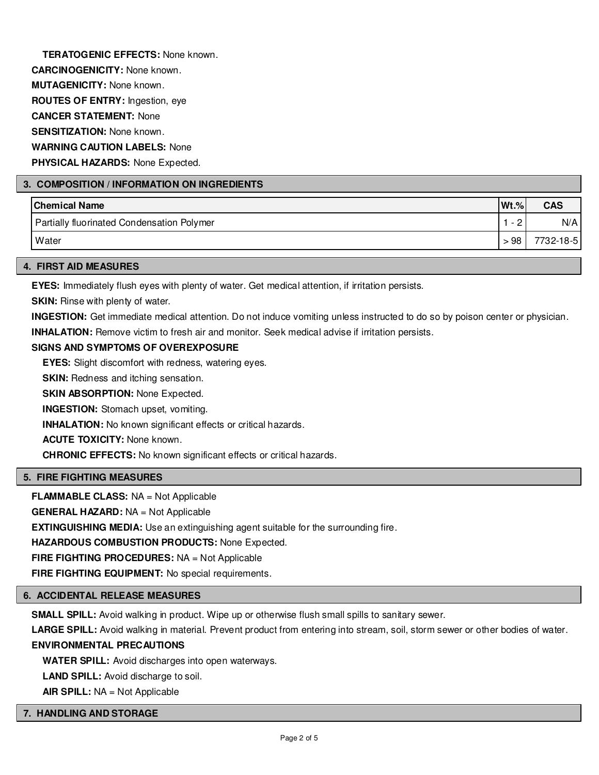**TERATOGENIC EFFECTS:** None known. **CARCINOGENICITY:** None known. **MUTAGENICITY:** None known. **ROUTES OF ENTRY:** Ingestion, eye **CANCER STATEMENT:** None **SENSITIZATION:** None known. **WARNING CAUTION LABELS:** None **PHYSICAL HAZARDS:** None Expected.

### **3. COMPOSITION / INFORMATION ON INGREDIENTS**

| <b>Chemical Name</b>                       | <b>Wt.%</b>                                    | <b>CAS</b> |
|--------------------------------------------|------------------------------------------------|------------|
| Partially fluorinated Condensation Polymer | $\sim$<br>$\overline{\phantom{0}}$<br><u>_</u> | N/A        |
| Water                                      | >98                                            | 7732-18-5  |

#### **4. FIRST AID MEASURES**

**EYES:** Immediately flush eyes with plenty of water. Get medical attention, if irritation persists.

**SKIN:** Rinse with plenty of water.

**INGESTION:** Get immediate medical attention. Do not induce vomiting unless instructed to do so by poison center or physician.

**INHALATION:** Remove victim to fresh air and monitor. Seek medical advise if irritation persists.

#### **SIGNS AND SYMPTOMS OF OVEREXPOSURE**

**EYES:** Slight discomfort with redness, watering eyes.

**SKIN:** Redness and itching sensation.

**SKIN ABSORPTION: None Expected.** 

**INGESTION:** Stomach upset, vomiting.

**INHALATION:** No known significant effects or critical hazards.

**ACUTE TOXICITY:** None known.

**CHRONIC EFFECTS:** No known significant effects or critical hazards.

# **5. FIRE FIGHTING MEASURES**

**FLAMMABLE CLASS:** NA = Not Applicable

**GENERAL HAZARD:** NA = Not Applicable

**EXTINGUISHING MEDIA:** Use an extinguishing agent suitable for the surrounding fire.

**HAZARDOUS COMBUSTION PRODUCTS:** None Expected.

**FIRE FIGHTING PROCEDURES:** NA = Not Applicable

**FIRE FIGHTING EQUIPMENT:** No special requirements.

#### **6. ACCIDENTAL RELEASE MEASURES**

**SMALL SPILL:** Avoid walking in product. Wipe up or otherwise flush small spills to sanitary sewer.

**LARGE SPILL:** Avoid walking in material. Prevent product from entering into stream, soil, storm sewer or other bodies of water.

# **ENVIRONMENTAL PRECAUTIONS**

**WATER SPILL:** Avoid discharges into open waterways.

**LAND SPILL:** Avoid discharge to soil.

**AIR SPILL:** NA = Not Applicable

#### **7. HANDLING AND STORAGE**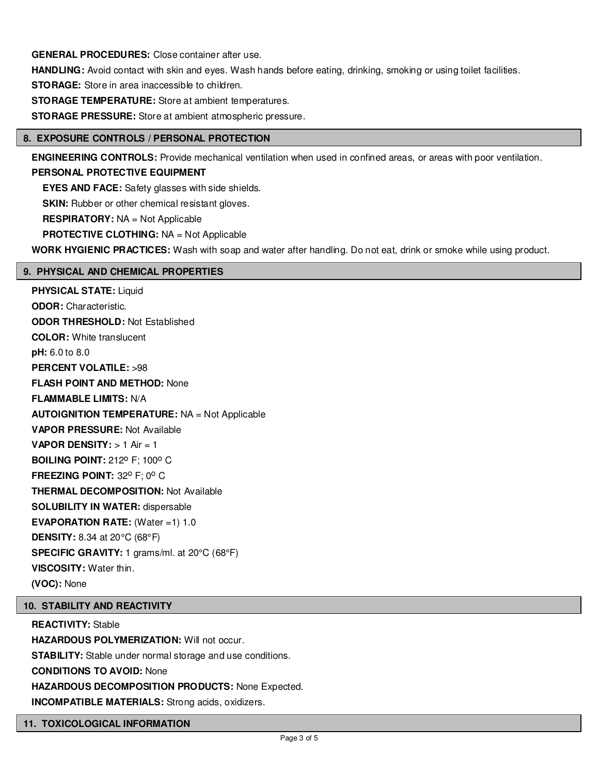**GENERAL PROCEDURES:** Close container after use.

**HANDLING:** Avoid contact with skin and eyes. Wash hands before eating, drinking, smoking or using toilet facilities.

**STORAGE:** Store in area inaccessible to children.

**STORAGE TEMPERATURE:** Store at ambient temperatures.

**STORAGE PRESSURE:** Store at ambient atmospheric pressure.

#### **8. EXPOSURE CONTROLS / PERSONAL PROTECTION**

**ENGINEERING CONTROLS:** Provide mechanical ventilation when used in confined areas, or areas with poor ventilation.

# **PERSONAL PROTECTIVE EQUIPMENT**

**EYES AND FACE:** Safety glasses with side shields.

**SKIN:** Rubber or other chemical resistant gloves.

**RESPIRATORY:** NA = Not Applicable

**PROTECTIVE CLOTHING:** NA = Not Applicable

**WORK HYGIENIC PRACTICES:** Wash with soap and water after handling. Do not eat, drink or smoke while using product.

### **9. PHYSICAL AND CHEMICAL PROPERTIES**

**PHYSICAL STATE:** Liquid **ODOR:** Characteristic. **ODOR THRESHOLD:** Not Established **COLOR:** White translucent **pH:** 6.0 to 8.0 **PERCENT VOLATILE:** >98 **FLASH POINT AND METHOD:** None **FLAMMABLE LIMITS:** N/A **AUTOIGNITION TEMPERATURE:** NA = Not Applicable **VAPOR PRESSURE:** Not Available **VAPOR DENSITY:** > 1 Air = 1 **BOILING POINT: 212° F: 100° C FREEZING POINT: 32° F; 0° C THERMAL DECOMPOSITION:** Not Available **SOLUBILITY IN WATER:** dispersable **EVAPORATION RATE:** (Water =1) 1.0 **DENSITY:** 8.34 at 20°C (68°F) **SPECIFIC GRAVITY:** 1 grams/ml. at 20°C (68°F) **VISCOSITY:** Water thin. **(VOC):** None

# **10. STABILITY AND REACTIVITY**

**REACTIVITY:** Stable **HAZARDOUS POLYMERIZATION: Will not occur. STABILITY:** Stable under normal storage and use conditions. **CONDITIONS TO AVOID:** None **HAZARDOUS DECOMPOSITION PRODUCTS:** None Expected. **INCOMPATIBLE MATERIALS:** Strong acids, oxidizers.

#### **11. TOXICOLOGICAL INFORMATION**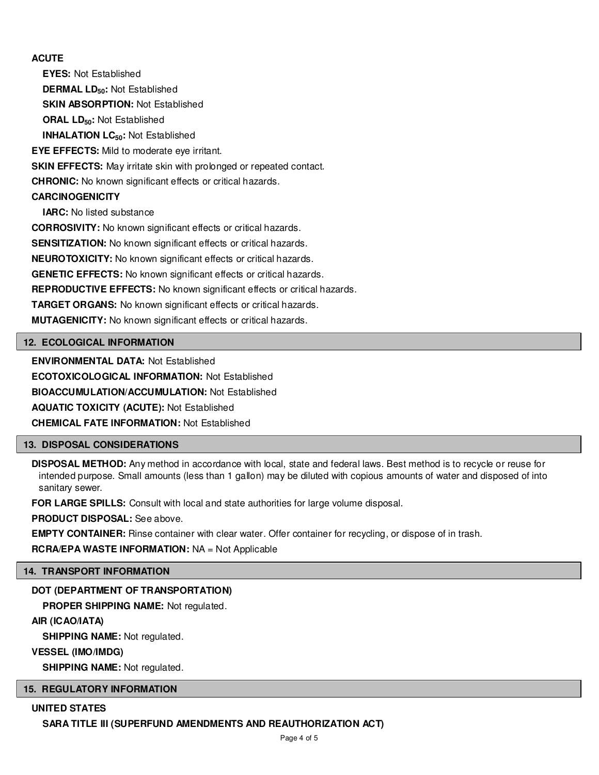# **ACUTE**

**EYES:** Not Established **DERMAL LD50:** Not Established **SKIN ABSORPTION:** Not Established **ORAL LD50:** Not Established **INHALATION LC50:** Not Established **EYE EFFECTS:** Mild to moderate eye irritant. **SKIN EFFECTS:** May irritate skin with prolonged or repeated contact. **CHRONIC:** No known significant effects or critical hazards. **CARCINOGENICITY IARC:** No listed substance **CORROSIVITY:** No known significant effects or critical hazards. **SENSITIZATION:** No known significant effects or critical hazards. **NEUROTOXICITY:** No known significant effects or critical hazards. **GENETIC EFFECTS:** No known significant effects or critical hazards. **REPRODUCTIVE EFFECTS:** No known significant effects or critical hazards. **TARGET ORGANS:** No known significant effects or critical hazards. **MUTAGENICITY:** No known significant effects or critical hazards.

# **12. ECOLOGICAL INFORMATION**

**ENVIRONMENTAL DATA:** Not Established

**ECOTOXICOLOGICAL INFORMATION:** Not Established

**BIOACCUMULATION/ACCUMULATION:** Not Established

**AQUATIC TOXICITY (ACUTE):** Not Established

**CHEMICAL FATE INFORMATION:** Not Established

# **13. DISPOSAL CONSIDERATIONS**

**DISPOSAL METHOD:** Any method in accordance with local, state and federal laws. Best method is to recycle or reuse for intended purpose. Small amounts (less than 1 gallon) may be diluted with copious amounts of water and disposed of into sanitary sewer.

**FOR LARGE SPILLS:** Consult with local and state authorities for large volume disposal.

**PRODUCT DISPOSAL:** See above.

**EMPTY CONTAINER:** Rinse container with clear water. Offer container for recycling, or dispose of in trash.

**RCRA/EPA WASTE INFORMATION:** NA = Not Applicable

#### **14. TRANSPORT INFORMATION**

# **DOT (DEPARTMENT OF TRANSPORTATION)**

**PROPER SHIPPING NAME:** Not regulated.

#### **AIR (ICAO/IATA)**

**SHIPPING NAME:** Not regulated.

**VESSEL (IMO/IMDG)**

**SHIPPING NAME:** Not regulated.

# **15. REGULATORY INFORMATION**

#### **UNITED STATES**

**SARA TITLE III (SUPERFUND AMENDMENTS AND REAUTHORIZATION ACT)**